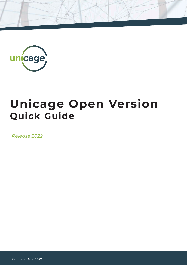

# **Unicage Open Version Quick Guide**

*Release 2022*

February 16th, 2022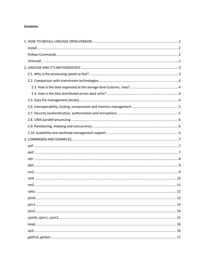#### **Contents**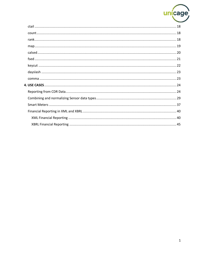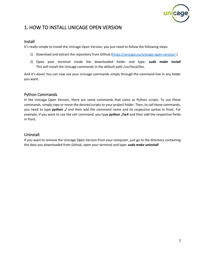

# <span id="page-3-0"></span>1. HOW TO INSTALL UNICAGE OPEN VERSION

#### <span id="page-3-1"></span>Install

It's really simple to install the Unicage Open Version, you just need to follow the following steps:

- 1) Download and extract the repository from Github [\(https://unicage.eu/unicage-open-version/](https://unicage.eu/unicage-open-version/)).
- 2) Open your terminal inside the downloaded folder and type: *sudo make install* This will install the Unicage commands in the default path /usr/local/bin.

And it's done! You can now use your Unicage commands simply through the command line in any folder you want.

# <span id="page-3-2"></span>Python Commands

In the Unicage Open Version, there are some commands that come as Python scripts. To use these commands, simply copy or move the desired scripts to your project folder. Then, to call those commands, you need to type *python ./* and then add the command name and its respective syntax in front. For example, if you want to use the selr command, you type *python ./selr* and then add the respective fields in front.

### <span id="page-3-3"></span>Uninstall

If you want to remove the Unicage Open Version from your computer, just go to the directory containing the data you downloaded from Github, open your terminal and type: *sudo make uninstall*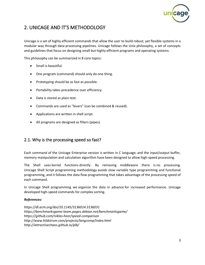

# <span id="page-4-0"></span>2. UNICAGE AND IT'S METHODOLOGY

Unicage is a set of highly efficient commands that allow the user to build robust, yet flexible systems in a modular way through data processing pipelines. Unicage follows the Unix philosophy, a set of concepts and guidelines that focus on designing small but highly efficient programs and operating systems.

This philosophy can be summarized in 8 core topics:

- Small is beautiful.
- One program (command) should only do one thing.
- Prototyping should be as fast as possible.
- Portability takes precedence over efficiency.
- Data is stored as plain text.
- Commands are used as "levers" (can be combined & reused).
- Applications are written in shell script.
- All programs are designed as filters (pipes).

# <span id="page-4-1"></span>2.1. Why is the processing speed so fast?

Each command of the Unicage Enterprise version is written in C language, and the input/output buffer, memory manipulation and calculation algorithm have been designed to allow high-speed processing.

The Shell uses kernel functions directly. By removing middleware there is no processing. Unicage Shell Script programming methodology avoids slow variable type programming and functional programming, and it follows the data flow programming that takes advantage of the processing speed of each command.

In Unicage Shell programming we organize the data in advance for increased performance. Unicage developed high-speed commands for complex sorting.

#### *References:*

*https://dl.acm.org/doi/10.1145/3136014.3136031 https://benchmarksgame-team.pages.debian.net/benchmarksgame/ https://github.com/niklas-heer/speed-comparison http://www.hildstrom.com/projects/langcomp/index.html http://attractivechaos.github.io/plb/*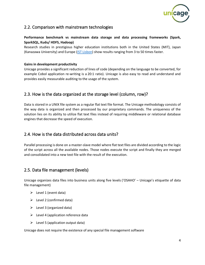

# <span id="page-5-0"></span>2.2. Comparison with mainstream technologies

#### **Performance benchmark vs mainstream data storage and data processing frameworks (Spark, SparkSQL, Kudu/ HDFS, Hadoop)**

Research studies in prestigious higher education institutions both in the United States (MIT), Japan (Kanazawa University) and Europe [\(IST Lisbon\)](https://www.sciencedirect.com/science/article/pii/S1877050918304277) show results ranging from 3 to 50 times faster.

#### **Gains in development productivity**

Unicage provides a significant reduction of lines of code (depending on the language to be converted, for example Cobol application re-writing is a 20:1 ratio). Unicage is also easy to read and understand and provides easily measurable auditing to the usage of the system.

# <span id="page-5-1"></span>2.3. How is the data organized at the storage level (column, row)?

Data is stored in a UNIX file system as a regular flat text file format. The Unicage methodology consists of the way data is organized and then processed by our proprietary commands. The uniqueness of the solution lies on its ability to utilize flat text files instead of requiring middleware or relational database engines that decrease the speed of execution.

# <span id="page-5-2"></span>2.4. How is the data distributed across data units?

Parallel processing is done on a master-slave model where flat text files are divided according to the logic of the script across all the available nodes. Those nodes execute the script and finally they are merged and consolidated into a new text file with the result of the execution.

# <span id="page-5-3"></span>2.5. Data file management (levels)

Unicage organizes data files into business units along five levels ('OSAHO' – Unicage's etiquette of data file management)

- $\triangleright$  Level 1 (event data)
- $\triangleright$  Level 2 (confirmed data)
- $\triangleright$  Level 3 (organized data)
- $\triangleright$  Level 4 (application reference data
- $\triangleright$  Level 5 (application output data)

Unicage does not require the existence of any special file management software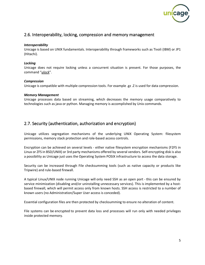

# <span id="page-6-0"></span>2.6. Interoperability, locking, compression and memory management

#### *Interoperability*

Unicage is based on UNIX fundamentals. Interoperability through frameworks such as Tivoli (IBM) or JP1 (Hitachi).

#### *Locking*

Unicage does not require locking unless a concurrent situation is present. For those purposes, the command "*ulock*".

#### *Compression*

Unicage is compatible with multiple compression tools. For example .gz .Z is used for data compression.

#### *Memory Management*

Unicage processes data based on streaming, which decreases the memory usage comparatively to technologies such as java or python. Managing memory is accomplished by Unix commands.

# <span id="page-6-1"></span>2.7. Security (authentication, authorization and encryption)

Unicage utilizes segregation mechanisms of the underlying UNIX Operating System: filesystem permissions, memory stack protection and role-based access controls.

Encryption can be achieved on several levels - either native filesystem encryption mechanisms (F2FS in Linux or ZFS in BSD/UNIX) or 3rd party mechanisms offered by several vendors. Self-encrypting disk is also a possibility as Unicage just uses the Operating System POSIX infrastructure to access the data storage.

Security can be increased through File checksumming tools (such as native capacity or products like Tripwire) and rule-based firewall.

A typical Linux/UNIX node running Unicage will only need SSH as an open port - this can be ensured by service minimization (disabling and/or uninstalling unnecessary services). This is implemented by a hostbased firewall, which will permit access only from known hosts. SSH access is restricted to a number of known users (no Administration/Super User access is conceded).

Essential configuration files are then protected by checksumming to ensure no alteration of content.

File systems can be encrypted to prevent data loss and processes will run only with needed privileges inside protected memory.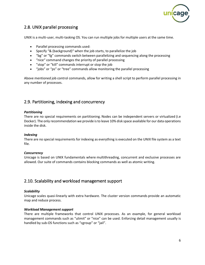

# <span id="page-7-0"></span>2.8. UNIX parallel processing

UNIX is a multi-user, multi-tasking OS. You can run multiple jobs for multiple users at the same time.

- Parallel processing commands used:
- Specify "& (background)" when the job starts, to parallelize the job
- "bg" or "fg" commands switch between parallelizing and sequencing along the processing
- "nice" command changes the priority of parallel processing
- "stop" or "kill" commands interrupt or stop the job
- "jobs" or "ps" or "tree" commands allow monitoring the parallel processing

Above mentioned job control commands, allow for writing a shell script to perform parallel processing in any number of processes.

# <span id="page-7-1"></span>2.9. Partitioning, indexing and concurrency

#### *Partitioning*

There are no special requirements on partitioning. Nodes can be independent servers or virtualized (i.e Docker). The only recommendation we provide is to leave 10% disk space available for our data operations inside the disk.

#### *Indexing*

There are no special requirements for indexing as everything is executed on the UNIX file system as a text file.

#### *Concurrency*

Unicage is based on UNIX fundamentals where multithreading, concurrent and exclusive processes are allowed. Our suite of commands contains blocking commands as well as atomic writing.

# <span id="page-7-2"></span>2.10. Scalability and workload management support

#### *Scalability*

Unicage scales quasi-linearly with extra hardware. The cluster version commands provide an automatic map and reduce process.

#### *Workload Management support*

There are multiple frameworks that control UNIX processes. As an example, for general workload management commands such as "ulimit" or "nice" can be used. Enforcing detail management usually is handled by sub-OS functions such as "cgroup" or "jail".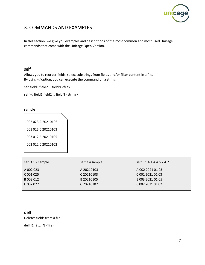

# <span id="page-8-0"></span>3. COMMANDS AND EXAMPLES

In this section, we give you examples and descriptions of the most common and most used Unicage commands that come with the Unicage Open Version.

# <span id="page-8-1"></span>self

Allows you to reorder fields, select substrings from fields and/or filter content in a file. By using *-d* option, you can execute the command on a string.

self field1 field2 ... fieldN <file>

self -d field1 field2 ... fieldN <string>

#### **sample**

002 023 A 20210103 001 025 C 20210103 003 012 B 20210105

002 022 C 20210102

| self 3 1 2 sample | self 3 4 sample | self 3 1 4.1.4 4.5.2 4.7 |
|-------------------|-----------------|--------------------------|
| A 002 023         | A 20210103      | A 002 2021 01 03         |
| C 001 025         | C 20210103      | C 001 2021 01 03         |
| B 003 012         | B 20210105      | B 003 2021 01 05         |
| C 002 022         | C 20210102      | C 002 2021 01 02         |
|                   |                 |                          |

# <span id="page-8-2"></span>delf

Deletes fields from a file.

delf f1 f2 … fN <file>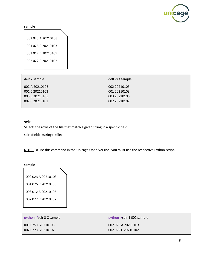

#### **sample**

002 023 A 20210103 001 025 C 20210103 003 012 B 20210105 002 022 C 20210102

| delf 2 sample                    | delf 2/3 sample              |
|----------------------------------|------------------------------|
| 002 A 20210103<br>001 C 20210103 | 002 20210103<br>001 20210103 |
| 003 B 20210105                   | 003 20210105                 |
| 002 C 20210102                   | 002 20210102                 |

#### <span id="page-9-0"></span>selr

Selects the rows of the file that match a given string in a specific field.

selr <field> <string> <file>

NOTE: To use this command in the Unicage Open Version, you must use the respective Python script.

#### **sample**

002 023 A 20210103 001 025 C 20210103 003 012 B 20210105 002 022 C 20210102

python ./selr 3 C sample

001 025 C 20210103 002 022 C 20210102 python ./selr 1 002 sample

002 023 A 20210103 002 022 C 20210102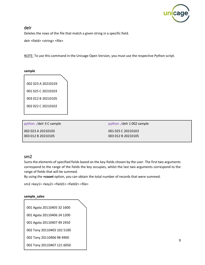

# <span id="page-10-0"></span>delr

Deletes the rows of the file that match a given string in a specific field.

delr <field> <string> <file>

NOTE: To use this command in the Unicage Open Version, you must use the respective Python script.

#### **sample**

002 023 A 20210103 001 025 C 20210103 003 012 B 20210105 002 022 C 20210102

python ./delr 3 C sample 002 023 A 20210103 003 012 B 20210105

python ./delr 1 002 sample 001 025 C 20210103 003 012 B 20210105

#### <span id="page-10-1"></span>sm2

Sums the elements of specified fields based on the key-fields chosen by the user. The first two arguments correspond to the range of the fields the key occupies, whilst the last two arguments correspond to the range of fields that will be summed.

By using the *+count* option, you can obtain the total number of records that were summed.

sm2 <key1> <key2> <field1> <field2> <file>

#### **sample\_sales**

|  | 001 Agata 20110405 32 1600 |  |
|--|----------------------------|--|
|  |                            |  |

001 Agata 20110406 24 1200

001 Agata 20110407 49 2450

002 Tony 20110405 102 5100

002 Tony 20110406 98 4900

002 Tony 20110407 121 6050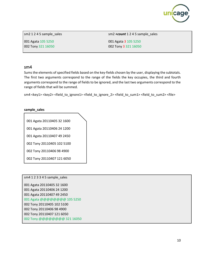

sm2 1 2 4 5 sample\_sales

001 Agata 105 5250 002 Tony 321 16050 sm2 *+count* 1 2 4 5 sample\_sales 001 Agata 3 105 5250 002 Tony 3 321 16050

#### <span id="page-11-0"></span>sm4

Sums the elements of specified fields based on the key-fields chosen by the user, displaying the subtotals. The first two arguments correspond to the range of the fields the key occupies, the third and fourth arguments correspond to the range of fields to be ignored, and the last two arguments correspond to the range of fields that will be summed.

sm4 <key1> <key2> <field\_to\_ignore1> <field\_to\_ignore\_2> <field\_to\_sum1> <field\_to\_sum2> <file>

#### **sample\_sales**

001 Agata 20110405 32 1600 001 Agata 20110406 24 1200

001 Agata 20110407 49 2450

002 Tony 20110405 102 5100

002 Tony 20110406 98 4900

002 Tony 20110407 121 6050

# sm4 1 2 3 3 4 5 sample\_sales 001 Agata 20110405 32 1600 001 Agata 20110406 24 1200 001 Agata 20110407 49 2450 001 Agata @@@@@@@@ 105 5250 002 Tony 20110405 102 5100 002 Tony 20110406 98 4900 002 Tony 20110407 121 6050 002 Tony @@@@@@@@ 321 16050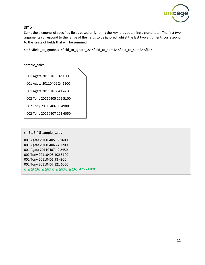

# <span id="page-12-0"></span>sm5

Sums the elements of specified fields based on ignoring the key, thus obtaining a grand total. The first two arguments correspond to the range of the fields to be ignored, whilst the last two arguments correspond to the range of fields that will be summed

sm5 <field\_to\_ignore1> <field\_to\_ignore\_2> <field\_to\_sum1> <field\_to\_sum2> <file>

#### **sample\_sales**

001 Agata 20110405 32 1600

001 Agata 20110406 24 1200

001 Agata 20110407 49 2450

002 Tony 20110405 102 5100

002 Tony 20110406 98 4900

002 Tony 20110407 121 6050

sm5 1 3 4 5 sample\_sales

001 Agata 20110405 32 1600 001 Agata 20110406 24 1200 001 Agata 20110407 49 2450 002 Tony 20110405 102 5100 002 Tony 20110406 98 4900 002 Tony 20110407 121 6050 @@@ @@@@@ @@@@@@@@ 426 21300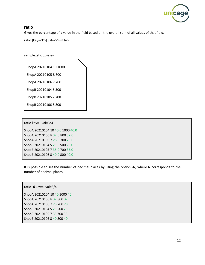

#### <span id="page-13-0"></span>ratio

Gives the percentage of a value in the field based on the overall sum of all values of that field.

ratio [key=<K>] val=<V> <file>

#### **sample\_shop\_sales**

ShopA 20210104 10 1000

ShopA 20210105 8 800 ShopA 20210106 7 700

ShopB 20210104 5 500

ShopB 20210105 7 700

ShopB 20210106 8 800

ratio key=1 val=3/4

ShopA 20210104 10 40.0 1000 40.0 ShopA 20210105 8 32.0 800 32.0 ShopA 20210106 7 28.0 700 28.0 ShopB 20210104 5 25.0 500 25.0 ShopB 20210105 7 35.0 700 35.0 ShopB 20210106 8 40.0 800 40.0

It is possible to set the number of decimal places by using the option *-N*, where **N** corresponds to the number of decimal places.

ratio *-0* key=1 val=3/4 ShopA 20210104 10 40 1000 40 ShopA 20210105 8 32 800 32 ShopA 20210106 7 28 700 28 ShopB 20210104 5 25 500 25 ShopB 20210105 7 35 700 35 ShopB 20210106 8 40 800 40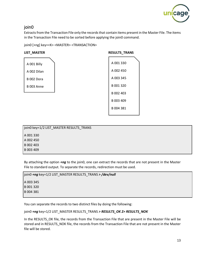

# <span id="page-14-0"></span>join0

Extracts from the Transaction File only the records that contain items present in the Master File. The items in the Transaction File need to be sorted before applying the join0 command.

join0 [+ng] key=<K> <MASTER> <TRANSACTION>

#### LIST\_MASTER

| A 001 Billy |  |
|-------------|--|
| A 002 Dilan |  |
| B 002 Dora  |  |
| B 003 Anne  |  |

| <b>RESULTS TRANS</b> |
|----------------------|
| A 001 330            |
| A 002 450            |
| A 003 345            |
| B 001 320            |
| B 002 403            |
| B 003 409            |
| B 004 381            |

| join0 key=1/2 LIST_MASTER RESULTS_TRANS |  |
|-----------------------------------------|--|
| A 001 330                               |  |
| A 002 450                               |  |
| B 002 403                               |  |
| B 003 409                               |  |
|                                         |  |

By attaching the option *+ng* to the join0, one can extract the records that are not present in the Master File to standard output. To separate the records, redirection must be used.

join0 *+ng* key=1/2 LIST\_MASTER RESULTS\_TRANS *> /dev/null*

A 003 345 B 001 320 B 004 381

You can separate the records to two distinct files by doing the following:

join0 *+ng* key=1/2 LIST\_MASTER RESULTS\_TRANS *> RESULTS\_OK 2> RESULTS\_NOK*

In the RESULTS OK file, the records from the Transaction File that are present in the Master File will be stored and in RESULTS\_NOK file, the records from the Transaction File that are not present in the Master file will be stored.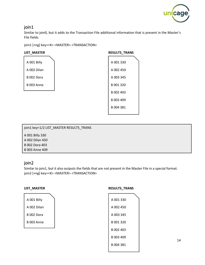

# <span id="page-15-0"></span>join1

Similar to join0, but it adds to the Transaction File additional information that is present in the Master's File fields.

join1 [+ng] key=<K> <MASTER> <TRANSACTION>

#### LIST\_MASTER

| A 001 Billy |  |
|-------------|--|
| A 002 Dilan |  |
| B 002 Dora  |  |
| B 003 Anne  |  |
|             |  |

| <b>RESULTS TRANS</b> |
|----------------------|
| A001330              |
| A 002 450            |
| A 003 345            |
| B 001 320            |
| B 002 403            |
| B 003 409            |
| B 004 381            |
|                      |

| join1 key=1/2 LIST_MASTER RESULTS_TRANS |  |
|-----------------------------------------|--|
| A 001 Billy 330                         |  |
| A 002 Dilan 450                         |  |
| <b>B 002 Dora 403</b>                   |  |
| <b>B</b> 003 Anne 409                   |  |
|                                         |  |

# <span id="page-15-1"></span>join2

Similar to join1, but it also outputs the fields that are not present in the Master File in a special format. join2 [+ng] key=<K> <MASTER> <TRANSACTION>

| A 001 Billy |  |
|-------------|--|
| A 002 Dilan |  |
| B 002 Dora  |  |
| B 003 Anne  |  |

#### **LIST\_MASTER RESULTS\_TRANS**

| A 001 330 |
|-----------|
| A 002 450 |
| A 003 345 |
| B 001 320 |
| B 002 403 |
| B 003 409 |
| B 004 381 |
|           |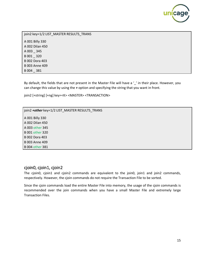

join2 key=1/2 LIST\_MASTER RESULTS\_TRANS A 001 Billy 330 A 002 Dilan 450 A 003 \_ 345 B 001 \_ 320 B 002 Dora 403 B 003 Anne 409 B 004 \_ 381

By default, the fields that are not present in the Master File will have a ' ' in their place. However, you can change this value by using the *+* option and specifying the string that you want in front.

join2 [+string] [+ng] key=<K> <MASTER> <TRANSACTION>

join2 *+other* key=1/2 LIST\_MASTER RESULTS\_TRANS A 001 Billy 330

A 002 Dilan 450 A 003 other 345 B 001 other 320 B 002 Dora 403 B 003 Anne 409 B 004 other 381

# <span id="page-16-0"></span>cjoin0, cjoin1, cjoin2

The cjoin0, cjoin1 and cjoin2 commands are equivalent to the join0, join1 and join2 commands, respectively. However, the cjoin commands do not require the Transaction File to be sorted.

<span id="page-16-1"></span>Since the cjoin commands load the entire Master File into memory, the usage of the cjoin commands is recommended over the join commands when you have a small Master File and extremely large Transaction Files.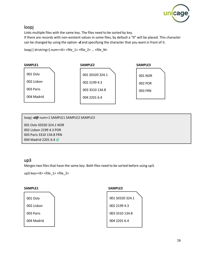

# loopj

Links multiple files with the same key. The files need to be sorted by key.

If there are records with non-existent values in some files, by default a "0" will be placed. This character can be changed by using the option *-d* and specifying the character that you want in front of it.

loopj [-d<string>] num=<K> <file\_1> <file\_2> … <file\_N>



loopj *-d@* num=1 SAMPLE1 SAMPLE2 SAMPLE3 001 Oslo 50320 324.1 NOR 002 Lisbon 2199 4.3 POR

003 Paris 3310 134.8 FRN 004 Madrid 2201 6.4 @

# <span id="page-17-0"></span>up3

Merges two files that have the same key. Both files need to be sorted before using up3.

up3 key=<K> <file\_1> <file\_2>

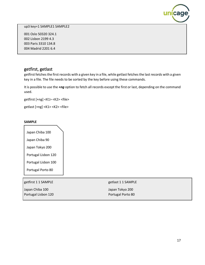

up3 key=1 SAMPLE1 SAMPLE2

001 Oslo 50320 324.1 002 Lisbon 2199 4.3 003 Paris 3310 134.8 004 Madrid 2201 6.4

# <span id="page-18-0"></span>getfirst, getlast

getfirst fetches the first records with a given key in a file, while getlast fetches the last records with a given key in a file. The file needs to be sorted by the key before using these commands.

It is possible to use the *+ng* option to fetch all records except the first or last, depending on the command used.

getfirst [+ng] <K1> <K2> <file>

getlast [+ng] <K1> <K2> <file>

#### **SAMPLE**

Japan Chiba 100 Japan Chiba 90 Japan Tokyo 200 Portugal Lisbon 120

Portugal Lisbon 100

Portugal Porto 80

<span id="page-18-1"></span>

| getfirst 1 1 SAMPLE | getlast 1 1 SAMPLE |
|---------------------|--------------------|
| Japan Chiba 100     | Japan Tokyo 200    |
| Portugal Lisbon 120 | Portugal Porto 80  |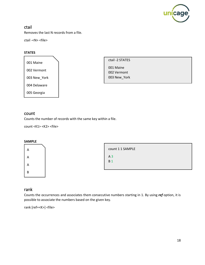

# ctail

Removes the last N records from a file.

ctail -<N> <file>

#### **STATES**

001 Maine 002 Vermont 003 New\_York 004 Delaware 005 Georgia

ctail -2 STATES

001 Maine 002 Vermont 003 New\_York

#### <span id="page-19-0"></span>count

Counts the number of records with the same key within a file.

count <K1> <K2> <file>

#### **SAMPLE**



count 1 1 SAMPLE A 3 B 1

# <span id="page-19-1"></span>rank

Counts the occurrences and associates them consecutive numbers starting in 1. By using *ref* option, it is possible to associate the numbers based on the given key.

rank [ref=<K>] <file>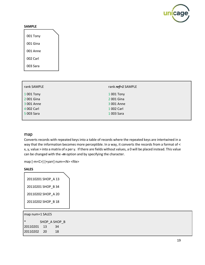

#### **SAMPLE**

001 Tony 001 Gina 001 Anne 002 Carl 003 Sara

| rank SAMPLE | rank ref=1 SAMPLE |
|-------------|-------------------|
| 1 001 Tony  | 1 001 Tony        |
| 2 001 Gina  | 2 001 Gina        |
| 3 001 Anne  | 3 001 Anne        |
| 4 002 Carl  | 1 002 Carl        |
| 5 003 Sara  | 1 003 Sara        |

#### <span id="page-20-0"></span>map

Converts records with repeated keys into a table of records where the repeated keys are intertwined in a way that the information becomes more perceptible. In a way, it converts the records from a format of < x, y, value > into a matrix of x per y. If there are fields without values, a 0 will be placed instead. This value can be changed with the *-m* option and by specifying the character.

map [-m<C>] [+yarr] num=<N> <file>

#### **SALES**

| 20110201 SHOP A 13 |  |
|--------------------|--|
| 20110201 SHOP B 34 |  |
| 20110202 SHOP A 20 |  |
| 20110202 SHOP B 18 |  |
|                    |  |

| map num=1 SALES |    |               |  |  |
|-----------------|----|---------------|--|--|
| $\ast$          |    | SHOP A SHOP B |  |  |
| 20110201        | 13 | 34            |  |  |
| 20110202        | 20 | 18            |  |  |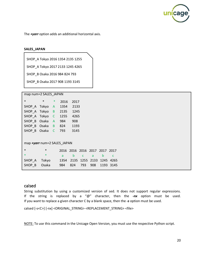

The *+yarr* option adds an additional horizontal axis.

#### **SALES\_JAPAN**

SHOP\_A Tokyo 2016 1354 2135 1255

SHOP\_A Tokyo 2017 2133 1245 4265

SHOP\_B Osaka 2016 984 824 793

SHOP\_B Osaka 2017 908 1193 3145

map num=2 SALES\_JAPAN

| $\ast$                      | $\ast$ | $\ast$ | 2016 | 2017 |     |           |                          |      |  |
|-----------------------------|--------|--------|------|------|-----|-----------|--------------------------|------|--|
| SHOP A Tokyo                |        | A      | 1354 | 2133 |     |           |                          |      |  |
| SHOP A                      | Tokyo  | B      | 2135 | 1245 |     |           |                          |      |  |
| SHOP A                      | Tokyo  | C      | 1255 | 4265 |     |           |                          |      |  |
| SHOP B Osaka                |        | A      | 984  | 908  |     |           |                          |      |  |
| SHOP_B Osaka B              |        |        | 824  | 1193 |     |           |                          |      |  |
| SHOP_B                      | Osaka  | C      | 793  | 3145 |     |           |                          |      |  |
|                             |        |        |      |      |     |           |                          |      |  |
| map +yarr num=2 SALES JAPAN |        |        |      |      |     |           |                          |      |  |
| $\ast$                      | $\ast$ |        | 2016 |      |     |           | 2016 2016 2017 2017 2017 |      |  |
| $\ast$                      | $*$    |        | a    | b    | C   | a         | b                        | C    |  |
| SHOP A                      | Tokyo  |        | 1354 | 2135 |     | 1255 2133 | 1245                     | 4265 |  |
| SHOP B                      | Osaka  |        | 984  | 824  | 793 | 908       | 1193                     | 3145 |  |

#### <span id="page-21-0"></span>calsed

String substitution by using a customized version of sed. It does not support regular expressions. If the string is replaced by a "@" character, then the *-nx* option must be used. If you want to replace a given character C by a blank space, then the *-s* option must be used.

calsed [-s<C>] [-nx] <ORIGINAL\_STRING> <REPLACEMENT\_STRING> <file>

NOTE: To use this command in the Unicage Open Version, you must use the respective Python script.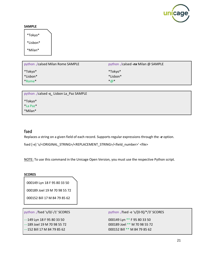

#### **SAMPLE**

\*Tokyo\* \*Lisbon\* \*Milan\*

| python ./calsed Milan Rome SAMPLE | python ./calsed -nx Milan @ SAMPLE |
|-----------------------------------|------------------------------------|
| *Tokyo*                           | *Tokyo*                            |
| *Lisbon*                          | *Lisbon*                           |
| *Rome*                            | $*_{@}*$                           |

| python ./calsed -s_ Lisbon La_Paz SAMPLE |
|------------------------------------------|
| *Tokyo*                                  |
| *La Paz*                                 |
| *Milan*                                  |

# <span id="page-22-0"></span>fsed

Replaces a string on a given field of each record. Supports regular expressions through the *-e* option.

fsed [-e] 's/<ORIGINAL\_STRING>/<REPLACEMENT\_STRING>/<field\_number>' <file>

NOTE: To use this command in the Unicage Open Version, you must use the respective Python script.

#### **SCORES**

000149 Lyn 18 F 95 80 33 50 000189 Joel 19 M 70 98 55 72

000152 Bill 17 M 84 79 85 62

python ./fsed 's/0/-/1' SCORES

---149 Lyn 18 F 95 80 33 50 ---189 Joel 19 M 70 98 55 72 ---152 Bill 17 M 84 79 85 62

python ./fsed -e 's/[0-9]/\*/3' SCORES 000149 Lyn \*\* F 95 80 33 50 000189 Joel \*\* M 70 98 55 72 000152 Bill \*\* M 84 79 85 62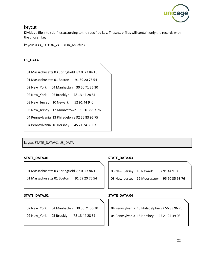

### <span id="page-23-0"></span>keycut

Divides a file into sub-files according to the specified key. These sub-files will contain only the records with the chosen key.

keycut %<K\_1> %<K\_2> … %<K\_N> <file>

#### **US\_DATA**

| 01 Massachusetts 03 Springfield 82 0 23 84 10  |
|------------------------------------------------|
| 01 Massachusetts 01 Boston 91 59 20 76 54      |
| 02 New York 04 Manhattan 30 50 71 36 30        |
| 05 Brooklyn 78 13 44 28 51<br>02 New York      |
| 03 New_Jersey 10 Newark 52 91 44 9 0           |
| 03 New Jersey 12 Moorestown 95 60 35 93 76     |
| 04 Pennsylvania 13 Philadelphia 92 56 83 96 75 |
| 04 Pennsylvania 16 Hershey 45 21 24 39 03      |

keycut STATE\_DATA%1 US\_DATA

#### **STATE\_DATA.01**

- 01 Massachusetts 03 Springfield 82 0 23 84 10
- 01 Massachusetts 01 Boston 91 59 20 76 54

#### **STATE\_DATA.02**

02 New\_York 04 Manhattan 30 50 71 36 30 02 New York 05 Brooklyn 78 13 44 28 51

#### **STATE\_DATA.03**

03 New\_Jersey 10 Newark 52 91 44 9 0

03 New\_Jersey 12 Moorestown 95 60 35 93 76

#### **STATE\_DATA.04**

04 Pennsylvania 13 Philadelphia 92 56 83 96 75

04 Pennsylvania 16 Hershey 45 21 24 39 03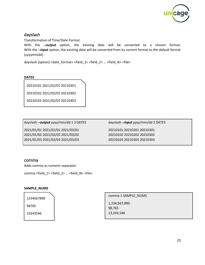

# <span id="page-24-0"></span>dayslash

Transformation of Time/Date Format.

With the *--output* option, the existing date will be converted to a chosen format. With the *--input* option, the existing date will be converted from its current format to the default format (yyyymmdd).

dayslash [option] <date\_format> <field\_1> <field\_2> … <field\_N> <file>

20210101 2021/02/01 20210301

20210102 2021/02/02 20210302

20210103 2021/02/03 20210303

| dayslash -- output yyyy/mm/dd 13 DATES |  |  |  |
|----------------------------------------|--|--|--|
|                                        |  |  |  |

2021/01/01 2021/02/01 2021/03/01 2021/01/02 2021/02/02 2021/03/02 2021/01/03 2021/02/03 2021/03/03 dayslash *--input* yyyy/mm/dd 2 DATES

20210101 20210201 20210301 20210102 20210202 20210302 20210103 20210203 20210303

#### <span id="page-24-1"></span>comma

Adds comma as numeric separator.

comma <field\_1> <field\_2> … <field\_N> <file>

#### **SAMPLE\_NUMS**



comma 1 SAMPLE\_NUMS

1,234,567,890 98,765 13,243,546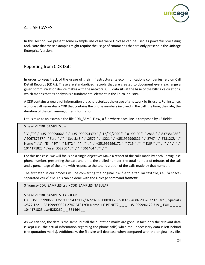

# <span id="page-25-0"></span>4. USE CASES

In this section, we present some example use cases were Unicage can be used as powerful processing tool. Note that these examples might require the usage of commands that are only present in the Unicage Enterprise Version.

# <span id="page-25-1"></span>Reporting from CDR Data

In order to keep track of the usage of their infrastructure, telecommunications companies rely on Call Detail Records (CDRs). These are standardized records that are created to document every exchange a given communication device makes with the network. CDR data sits at the base of the billing calculations, which means that its analysis is a fundamental element in the Telco industry.

A CDR contains a wealth of information that characterizes the usage of a network by its users. For instance, a phone call generates a CDR that contains the phone numbers involved in the call, the time, the date, the duration of the call, among other information.

Let us take as an example the file CDR\_SAMPLE.csv, a file where each line is composed by 42 fields:

\$ head -1 CDR\_SAMPLES.csv

"G" ,"0" ," +351999990665 " ," +351999994370 " ," 12/02/2020 " ," 01:00:00 " ," 2865 " ," 837384086 " ,"206787737 " ," Faro " ,"" ," Special3 " ," .2577 " ," 1221 " ," +351999990321 " ," 2747 " ," BT312CR " ," Name " ,"1" ,"E" ," PT " ," NET2 " ," " ,"" ,"" ," +351999996172 " ," 719 " ,"" ," EUR " ,"" ," " ,"" ," " ," 1044171823 " ,"userID52260 " ,"" ,"" ," 361464 " ,"" ," "

For this use case, we will focus on a single objective: Make a report of the calls made by each Portuguese phone number, presenting the date and time, the dialled number, the total number of minutes of the call and a percentage of the time with respect to the total duration of the calls made by that number.

The first step in our process will be converting the original .csv file to a tabular text file, i.e., "a spaceseparated value" file. This can be done with the Unicage command **fromcsv**:

\$ fromcsv CDR\_SAMPLES.csv > CDR\_SAMPLES\_TABULAR

\$ head -1 CDR SAMPLES TABULAR

G 0 +351999990665 +351999994370 12/02/2020 01:00:00 2865 837384086 206787737 Faro \_ Special3 .2577 1221 +351999990321 2747 BT312CR Name 1 E PT NET2 \_ \_ \_ +351999996172 719 \_ EUR \_ \_ \_ \_ 1044171823 userID52260 \_ \_ 361464 \_ \_

As we can see, the data is the same, but all the quotation marks are gone. In fact, only the relevant data is kept (i.e., the actual information regarding the phone calls) while the unnecessary data is left behind (the quotation marks). Additionally, the file size will decrease when compared with the original .csv file.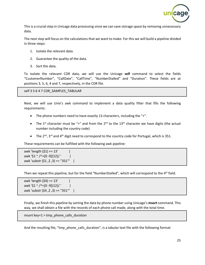

This is a crucial step in Unicage data processing since we can save storage space by removing unnecessary data.

The next step will focus on the calculations that we want to make. For this we will build a pipeline divided in three steps:

- 1. Isolate the relevant data.
- 2. Guarantee the quality of the data.
- 3. Sort the data.

To isolate the relevant CDR data, we will use the Unicage **self** command to select the fields "CustomerNumber", "CallDate", "CallTime", "NumberDialled" and "Duration". These fields are at positions 3, 5, 6, 4 and 7, respectively, in the CDR file.

self 3 5 6 4 7 CDR\_SAMPLES\_TABULAR

Next, we will use Unix's awk command to implement a data quality filter that fills the following requirements:

- The phone numbers need to have exactly 13 characters, including the "+".
- The 1<sup>st</sup> character must be "+" and from the 2<sup>nd</sup> to the 13<sup>th</sup> character we have digits (the actual number including the country code)
- The  $2^{nd}$ ,  $3^{rd}$  and  $4^{th}$  digit need to correspond to the country code for Portugal, which is 351.

These requirements can be fulfilled with the following awk pipeline:

awk 'length  $(51) == 13'$ awk '\$1  $\sim$  /^+[0 -9]{12}/ ' awk 'substr (\$1,2,3) == "351"' |

Then we repeat this pipeline, but for the field "NumberDialled", which will correspond to the  $4<sup>th</sup>$  field.

```
awk 'length (54) == 13'awk '$1 ~ /^+[0 -9]{12}/ ' |
awk 'substr ($4 ,2 ,3) == "351"' |
```
Finally, we finish this pipeline by sorting the data by phone number using Unicage's **msort** command. This way, we shall obtain a file with the records of each phone call made, along with the total time.

msort key=1 > tmp\_phone\_calls\_duration

And the resulting file, "tmp\_phone\_calls\_duration", is a tabular text file with the following format: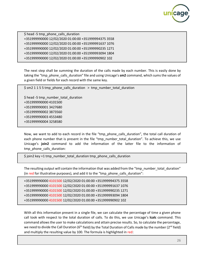

\$ head -5 tmp\_phone\_calls\_duration +351999990000 12/02/2020 01:00:00 +351999994375 3558 +351999990000 12/02/2020 01:00:00 +351999991637 1076 +351999990000 12/02/2020 01:00:00 +351999990235 1271 +351999990000 12/02/2020 01:00:00 +351999993094 1804 +351999990000 12/02/2020 01:00:00 +351999990902 102

The next step shall be summing the duration of the calls made by each number. This is easily done by taking the "tmp\_phone\_calls\_duration" file and using Unicage's **sm2** command, which sums the values of a given field or fields for each record with the same key.

\$ sm2 1 1 5 5 tmp\_phone\_calls\_duration > tmp\_number\_total\_duration

\$ head -5 tmp\_number\_total\_duration +351999990000 4101500 +351999990001 3427680 +351999990002 3873560 +351999990003 4553480 +351999990004 3258580

Now, we want to add to each record in the file "tmp\_phone\_calls\_duration", the total call duration of each phone number that is present in the file "tmp\_number\_total\_duration". To achieve this, we use Unicage's **join2** command to add the information of the latter file to the information of tmp\_phone\_calls\_duration:

\$ join2 key =1 tmp\_number\_total\_duration tmp\_phone\_calls\_duration

The resulting output will contain the information that was added from the "tmp\_number\_total\_duration" (in red for illustrative purposes), and add it to the "tmp\_phone\_calls\_duration":

+351999990000 4101500 12/02/2020 01:00:00 +351999994375 3558 +351999990000 4101500 12/02/2020 01:00:00 +351999991637 1076 +351999990000 4101500 12/02/2020 01:00:00 +351999990235 1271 +351999990000 4101500 12/02/2020 01:00:00 +351999993094 1804 +351999990000 4101500 12/02/2020 01:00:00 +351999990902 102

With all this information present in a single file, we can calculate the percentage of time a given phone call took with respect to the total duration of calls. To do this, we use Unicage's **lcalc** command. This command allows the user to make calculations and attain precise results. So, to calculate the percentage, we need to divide the Call Duration (6<sup>th</sup> field) by the Total Duration of Calls made by the number (2<sup>nd</sup> field) and multiply the resulting value by 100. The formula is highlighted in red: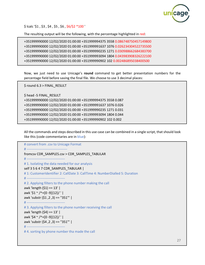

\$ lcalc '\$1 , \$3 , \$4 , \$5 , \$6 , \$6/\$2 \*100 '

The resulting output will be the following, with the percentage highlighted in red:

```
+351999990000 12/02/2020 01:00:00 +351999994375 3558 0.086748750457149800
+351999990000 12/02/2020 01:00:00 +351999991637 1076 0.026234304522735500
+351999990000 12/02/2020 01:00:00 +351999990235 1271 0.030988662684383700
+351999990000 12/02/2020 01:00:00 +351999993094 1804 0.043983908326222100
+351999990000 12/02/2020 01:00:00 +351999990902 102 0.002486895038400500
```
Now, we just need to use Unicage's **round** command to get better presentation numbers for the percentage field before saving the final file. We choose to use 3 decimal places:

\$ round 6.3 > FINAL\_RESULT

\$ head -5 FINAL\_RESULT +351999990000 12/02/2020 01:00:00 +351999994375 3558 0.087 +351999990000 12/02/2020 01:00:00 +351999991637 1076 0.026 +351999990000 12/02/2020 01:00:00 +351999990235 1271 0.031 +351999990000 12/02/2020 01:00:00 +351999993094 1804 0.044 +351999990000 12/02/2020 01:00:00 +351999990902 102 0.002

All the commands and steps described in this use case can be combined in a single script, that should look like this (code commentaries are in blue):

```
# convert from .csv to Unicage Format
# ------------------------------------
fromcsv CDR_SAMPLES.csv > CDR_SAMPLES_TABULAR
# ----------------------------------
# 1. Isolating the data needed for our analysis
self 3 5 6 4 7 CDR SAMPLES TABULAR |
# 1: CustomerIdentifier 2: CallDate 3: CallTime 4: NumberDialled 5: Duration
# ----------------------------------
# 2. Applying filters to the phone number making the call
awk 'length ($1) == 13' |
awk '$1 ~ /^+[0 -9]{12}/ ' |
awk 'substr ($1 ,2 ,3) == "351"' |
# ----------------------------------
# 3. Applying filters to the phone number receiving the call
awk 'length ($4) == 13' |
awk '$4 ~ /^+[0 -9]{12}/ ' |
awk 'substr ($4 ,2 ,3) == "351"' |
# ----------------------------------
# 4. sorting by phone number tha made the call
```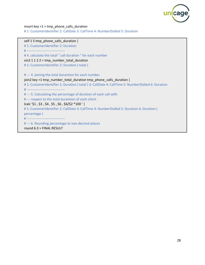

msort key =1 > tmp\_phone\_calls\_duration

# 1: CustomerIdentifier 2: CallDate 3: CallTime 4: NumberDialled 5: Duration

ֺֺ

self 1 5 tmp\_phone\_calls\_duration | # 1: CustomerIdentifier 2: Duration # ---------------------------------- # 4. calculate the total " call duration " for each number sm2  $1 1 2 2$  > tmp\_number\_total\_duration # 1: CustomerIdentifier 2: Duration ( total ) # --- 4. joining the total durantion for each number join2 key =1 tmp\_number\_total\_duration tmp\_phone\_calls\_duration | # 1: CustomerIdentifier 2: Duration ( total ) 3: CallDate 4: CallTime 5: NumberDialled 6: Duration # ---------------------------------- # --- 5. Calculating the percentage of duration of each call with # --- respect to the total durantion of each client lcalc '\$1 , \$3 , \$4 , \$5 , \$6 , \$6/\$2 \*100 ' | # 1: CustomerIdentifier 2: CallDate 3: CallTime 4: NumberDialled 5: Duration 6: Duration ( percentage ) # ---------------------------------- # --- 6. Rounding percentage to two decimal places round 6.3 > FINAL RESULT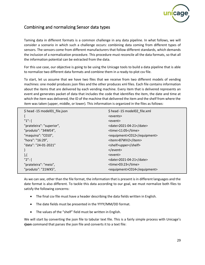

# <span id="page-30-0"></span>Combining and normalizing Sensor data types

Taming data in different formats is a common challenge in any data pipeline. In what follows, we will consider a scenario in which such a challenge occurs: combining data coming from different types of sensors. The sensors come from different manufacturers that follow different standards, which demands the inclusion of a normalization procedure. This procedure must reconcile all the data formats, so that all the information potential can be extracted from the data.

For this use case, our objective is going to be using the Unicage tools to build a data pipeline that is able to normalize two different data formats and combine them in a ready-to-plot csv file.

To start, let us assume that we have two files that we receive from two different models of vending machines: one model produces json files and the other produces xml files. Each file contains information about the items that are delivered by each vending machine. Every item that is delivered represents an event and generates packet of data that includes the code that identifies the item, the date and time at which the item was delivered, the ID of the machine that delivered the item and the shelf from where the item was taken (upper, middle, or lower). This information is organized in the files as follows:

| \$ head -15 model01 file.json | \$ head -15 model02 file.xml |
|-------------------------------|------------------------------|
|                               | <events></events>            |
| $"1":$ {                      | <event></event>              |
| "prateleira": "superior",     | <date>2021-04-21</date>      |
| "produto": "34WE4",           | <time>11:05</time>           |
| "maquina": "C010",            | <equipment>C012</equipment>  |
| "hora": "16:29",              | <item>87WV2</item>           |
| "data": "24-01-2021"          | <shelf>upper</shelf>         |
|                               | $\langle$ /event $\rangle$   |
| ${ }_{ }$                     | <event></event>              |
| $"2":$ {                      | <date>2021-04-21</date>      |
| "prateleira": "meio",         | <time>03:23</time>           |
| "produto": "21WX5",           | <equipment>C014</equipment>  |
|                               |                              |

As we can see, other than the file format, the information that is present is in different languages and the date format is also different. To tackle this data according to our goal, we must normalize both files to satisfy the following concerns:

- The final csv file must have a header describing the data fields written in English.
- The date fields must be presented in the YYYY/MM/DD format.
- The values of the "shelf" field must be written in English.

We will start by converting the json file to tabular text file. This is a fairly simple process with Unicage's **rjson** command that parses the json file and converts it to a text file: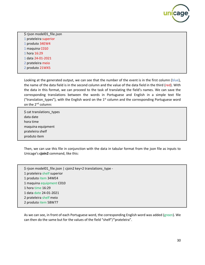

\$ rjson model01\_file.json prateleira superior produto 34EW4 maquina C010 hora 16:29 data 24-01-2021

- 2 prateleira meio
- 2 produto 21WX5

Looking at the generated output, we can see that the number of the event is in the first column (blue), the name of the data field is in the second column and the value of the data field in the third (red). With the data in this format, we can proceed to the task of translating the field's names. We can save the corresponding translations between the words in Portuguese and English in a simple text file ("translation types"), with the English word on the 1st column and the corresponding Portuguese word on the 2<sup>nd</sup> column:

\$ cat translations\_types data date hora time maquina equipment prateleira shelf produto item

Then, we can use this file in conjunction with the data in tabular format from the json file as inputs to Unicage's **cjoin2** command, like this:

\$ rjson model01 file.json | cjoin2 key=2 translations type -1 prateleira shelf superior 1 produto item 34WE4 1 maquina equipment C010 1 hora time 16:29 1 data date 24-01-2021 2 prateleira shelf meio 2 produto item 58W77

As we can see, in front of each Portuguese word, the corresponding English word was added (green). We can then do the same but for the values of the field "shelf"/"prateleira".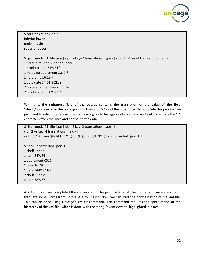

\$ cat translations\_field inferior lower meio middle superior upper \$ rjson model01\_file.json | cjoin2 key=2 translations\_type - | cjoin2 +? key=4 translations\_field - 1 prateleira shelf superior upper 1 produto item 34WE4 ? 1 maquina equipment C010 ? 1 hora time 16:29 ? 1 data date 24-01-2021 ? 2 prateleira shelf meio middle 2 produto item 58W77 ?

With this, the rightmost field of the output contains the translation of the value of the field "shelf"/"prateleira" in the corresponding lines and "?" in all the other lines. To complete this process, we just need to select the relevant fields, by using both Unicage's **self** command and awk to remove the "?" characters from the lines and normalize the data.

```
$ rjson model01_file.json | cjoin2 key=2 translations_type - |
cjoin2 +? key=4 translations_field - | 
self 1 3 4 5 | awk '{if($4 != "?"){$3 = $4}; print $1, $2, $3}' > converted_json_UF
$ head -7 converted json UF
1 shelf upper
1 item 34WE4
1 equipment C010
1 time 16:29
1 date 24-01-2021
2 shelf middle
2 item 58W77
```
And thus, we have completed the conversion of the json file to a tabular format and we were able to translate some words from Portuguese to English. Now, we can start the normalization of the xml file. This can be done using Unicage's **xmldir** command. This command requires the specification of the hierarchy of the xml file, which is done with the string "events/event" highlighted in blue: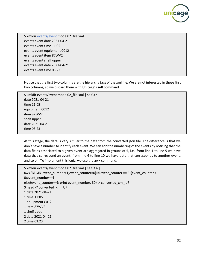

\$ xmldir events/event model02\_file.xml events event date 2021-04-21 events event time 11:05 events event equipment C012 events event item 87WV2 events event shelf upper events event date 2021-04-21 events event time 03:23

Notice that the first two columns are the hierarchy tags of the xml file. We are not interested in these first two columns, so we discard them with Unicage's **self** command

\$ xmldir events/event model02\_file.xml | self 3 4 date 2021-04-21 time 11:05 equipment C012 item 87WV2 shelf upper date 2021-04-21 time 03:23

At this stage, the data is very similar to the data from the converted json file. The difference is that we don't have a number to identify each event. We can add the numbering of the events by noticing that the data fields associated to a given event are aggregated in groups of 5, i.e., from line 1 to line 5 we have data that correspond an event, from line 6 to line 10 we have data that corresponds to another event, and so on. To implement this logic, we use the awk command:

```
$ xmldir events/event model02_file.xml | self 3 4 | 
awk 'BEGIN{event_number=1;event_counter=0}{if(event_counter == 5){event_counter = 
0;event_number++}
else{event_counter++}; print event_number, $0}' > converted_xml_UF
$ head -7 converted_xml_UF
1 date 2021-04-21
1 time 11:05
1 equipment C012
1 item 87WV2
1 shelf upper
2 date 2021-04-21
2 time 03:23
```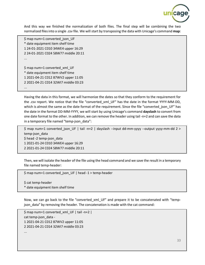

And this way we finished the normalization of both files. The final step will be combining the two normalized files into a single .csv file. We will start by transposing the data with Unicage's command **map**:

\$ map num=1 converted\_json\_UF \* date equipment item shelf time 1 24-01-2021 C010 34WE4 upper 16:29 2 24-01-2021 C024 58W77 middle 20:11 ... \$ map num=1 converted\_xml\_UF \* date equipment item shelf time 1 2021-04-21 C012 87WV2 upper 11:05 2 2021-04-21 C014 32WI7 middle 03:23 ...

Having the data in this format, we will harmonize the dates so that they conform to the requirement for the .csv report. We notice that the file "converted\_xml\_UF" has the date in the format YYYY-MM-DD, which is almost the same as the date format of the requirement. Since the file "converted\_json\_UF" has the date in the format DD-MM-YYYY, we will start by using Unicage's command **dayslash** to convert from one date format to the other. In addition, we can remove the header using tail -n+2 and can save the data in a temporary file named "temp-json\_data":

\$ map num=1 converted\_json\_UF | tail -n+2 | dayslash --input dd-mm-yyyy --output yyyy-mm-dd 2 > temp-json\_data \$ head -2 temp-json\_data 1 2021-01-24 C010 34WE4 upper 16:29 2 2021-01-24 C024 58W77 middle 20:11

Then, we will isolate the header of the file using the head command and we save the result in a temporary file named temp-header:

\$ map num=1 converted\_json\_UF | head -1 > temp-header

\$ cat temp-header \* date equipment item shelf time

Now, we can go back to the file "converted\_xml\_UF" and prepare it to be concatenated with "tempjson data" by removing the header. The concatenation is made with the cat command:

\$ map num=1 converted\_xml\_UF | tail -n+2 | cat temp-json\_data - 1 2021-04-21 C012 87WV2 upper 11:05 2 2021-04-21 C014 32WI7 middle 03:23 ...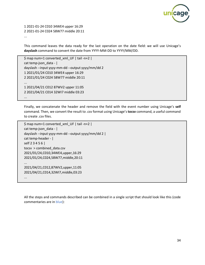

1 2021-01-24 C010 34WE4 upper 16:29 2 2021-01-24 C024 58W77 middle 20:11 ...

This command leaves the data ready for the last operation on the date field: we will use Unicage's **dayslash** command to convert the date from YYYY-MM-DD to YYYY/MM/DD.

\$ map num=1 converted\_xml\_UF | tail -n+2 | cat temp-json\_data - | dayslash --input yyyy-mm-dd --output yyyy/mm/dd 2 1 2021/01/24 C010 34WE4 upper 16:29 2 2021/01/24 C024 58W77 middle 20:11 ... 1 2021/04/21 C012 87WV2 upper 11:05 2 2021/04/21 C014 32WI7 middle 03:23 ...

Finally, we concatenate the header and remove the field with the event number using Unicage's **self** command. Then, we convert the result to .csv format using Unicage's **tocsv** command, a useful command to create .csv files.

```
$ map num=1 converted_xml_UF | tail -n+2 | 
cat temp-json_data - | 
dayslash --input yyyy-mm-dd --output yyyy/mm/dd 2 | 
cat temp-header - | 
self 2 3 4 5 6 | 
tocsv > combined_data.csv
2021/01/24,C010,34WE4,upper,16:29
2021/01/24,C024,58W77,middle,20:11
...
2021/04/21,C012,87WV2,upper,11:05
2021/04/21,C014,32WI7,middle,03:23
...
```
All the steps and commands described can be combined in a single script that should look like this (code commentaries are in blue):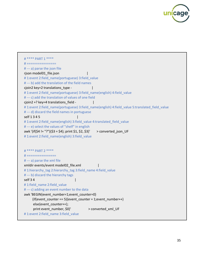

```
# **** PART 1 ****
# ================
# --- a) parse the json file
rjson model01_file.json |
# 1:event 2:field_name(portuguese) 3:field_value
# --- b) add the translation of the field names
cjoin2 key=2 translations_type - |
# 1:event 2:field_name(portuguese) 3:field_name(english) 4:field_value
# --- c) add the translation of values of one field
cjoin2 +? key=4 translations field - |
# 1:event 2:field_name(portuguese) 3:field_name(english) 4:field_value 5:translated_field_value
# --- d) discard the field names in portuguese
self 1 3 4 5 |
#1:event 2:field_name(english) 3:field_value 4:translated_field_value
# --- e) select the values of "shelf" in english
awk '{if($4 != "?"){$3 = $4}; print $1, $2, $3}' > converted_json_UF
#1:event 2:field_name(english) 3:field_value
# **** PART 2 ****
# ================
# --- a) parse the xml file
xmldir events/event model02_file.xml |
#1:hierarchy_tag 2:hierarchy_tag 3:field_name 4:field_value
# --- b) discard the hierarchy tags
self 3 4 |
# 1:field_name 2:field_value
# --- c) adding an event number to the data
awk 'BEGIN{event_number=1;event_counter=0}
     \{if(event_counter == 5)\{event_counter = 1;event_number++\} else{event_counter++}; 
      print event_number, $0}' > converted_xml_UF
# 1:event 2:field_name 3:field_value
```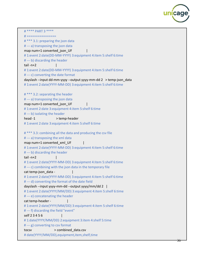

```
# **** PART 3 ****
# ================
# *** 3.1: preparing the json data
# --- a) transposing the json data
map num=1 converted json UF
# 1:event 2:date(DD-MM-YYYY) 3:equipment 4:item 5:shelf 6:time
# --- b) discarding the header
tail -n+2 |
# 1:event 2:date(DD-MM-YYYY) 3:equipment 4:item 5:shelf 6:time
# --- c) converting the date format
dayslash --input dd-mm-yyyy --output yyyy-mm-dd 2 > temp-json_data
# 1:event 2:date(YYYY-MM-DD) 3:equipment 4:item 5:shelf 6:time
# *** 3.2: separating the header
# --- a) transposing the json data
map num=1 converted json_UF
# 1:event 2:date 3:equipment 4:item 5:shelf 6:time
# --- b) isolating the header
head -1 > temp-header
# 1:event 2:date 3:equipment 4:item 5:shelf 6:time
# *** 3.3: combining all the data and producing the csv file
# --- a) transposing the xml data
map num=1 converted_xml UF
# 1:event 2:date(YYYY-MM-DD) 3:equipment 4:item 5:shelf 6:time
# --- b) discarding the header
tail -n+2 | 
# 1:event 2:date(YYYY-MM-DD) 3:equipment 4:item 5:shelf 6:time
# --- c) combining with the json data in the temporary file
cat temp-json data -
# 1:event 2:date(YYYY-MM-DD) 3:equipment 4:item 5:shelf 6:time
# --- d) converting the format of the date field
dayslash --input yyyy-mm-dd --output yyyy/mm/dd 2 | 
# 1:event 2:date(YYYY/MM/DD) 3:equipment 4:item 5:shelf 6:time
# --- e) concatenating the header
cat temp-header - |
# 1:event 2:date(YYYY/MM/DD) 3:equipment 4:item 5:shelf 6:time
# --- f) discarding the field "event"
self 2 3 4 5 6 |
# 1:date(YYYY/MM/DD) 2:equipment 3:item 4:shelf 5:time
# --- g) converting to csv format
tocsv > combined data.csv
# date(YYYY/MM/DD),equipment,item,shelf,time
```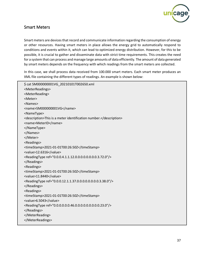

# <span id="page-38-0"></span>Smart Meters

Smart meters are devices that record and communicate information regarding the consumption of energy or other resources. Having smart meters in place allows the energy grid to automatically respond to conditions and events within it, which can lead to optimized energy distribution. However, for this to be possible, it is crucial to gather and disseminate data with strict time requirements. This creates the need for a system that can process and manage large amounts of data efficiently. The amount of data generated by smart meters depends on the frequency with which readings from the smart meters are collected.

In this case, we shall process data received from 100.000 smart meters. Each smart meter produces an XML file containing the different types of readings. An example is shown below:

| \$ cat SM000000001VG_20210101T002650.xml                                 |
|--------------------------------------------------------------------------|
| <meterreadings></meterreadings>                                          |
| <meterreading></meterreading>                                            |
| <meter></meter>                                                          |
| <names></names>                                                          |
| <name>SM000000001VG</name>                                               |
| <nametype></nametype>                                                    |
| <description>This is a meter identification number.</description>        |
| <name>MeterID</name>                                                     |
|                                                                          |
|                                                                          |
|                                                                          |
| <readings></readings>                                                    |
| <timestamp>2021-01-01T00:26:50Z</timestamp>                              |
| <value>12.6316</value>                                                   |
| <readingtype ref="0.0.0.4.1.1.12.0.0.0.0.0.0.0.0.3.72.0"></readingtype>  |
|                                                                          |
| <readings></readings>                                                    |
| <timestamp>2021-01-01T00:26:50Z</timestamp>                              |
| <value>11.8440</value>                                                   |
| <readingtype ref="0.0.0.12.1.1.37.0.0.0.0.0.0.0.0.3.38.0"></readingtype> |
|                                                                          |
| <readings></readings>                                                    |
| <timestamp>2021-01-01T00:26:50Z</timestamp>                              |
| <value>6.5043</value>                                                    |
| <readingtype ref="0.0.0.0.0.0.46.0.0.0.0.0.0.0.0.0.23.0"></readingtype>  |
|                                                                          |
|                                                                          |
|                                                                          |
|                                                                          |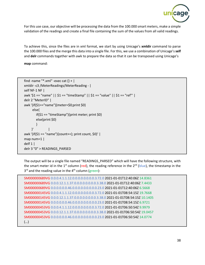

For this use case, our objective will be processing the data from the 100.000 smart meters, make a simple validation of the readings and create a final file containing the sum of the values from all valid readings.

To achieve this, since the files are in xml format, we start by using Unicage's **xmldir** command to parse the 100.000 files and the merge this data into a single file. For this, we use a combination of Unicage's **self** and **delr** commands together with awk to prepare the data so that it can be transposed using Unicage's

**map** command:

```
find -name "*.xml" -exec cat \} + \|xmldir -c3 /MeterReadings/MeterReading - | 
self NF-1 NF | 
awk '$1 == "name" || $1 == "timeStamp" || $1 == "value" || $1 == "ref"' | 
delr 2 "MeterID" | 
awk '{if($1=="name"){meter=$0;print $0}
      else{
       if($1 == "timeStamp"){print meter; print $0}
       else{print $0}
       }
 }' |
awk '{if($1 == "name"){count++}; print count, $0}' | 
map num=1 | 
delf 1 \middelr 3 "0" > READINGS_PARSED
```
The output will be a single file named "READINGS\_PARSED" which will have the following structure, with the smart meter id in the  $1<sup>st</sup>$  column (red), the reading reference in the  $2<sup>nd</sup>$  (blue), the timestamp in the 3<sup>rd</sup> and the reading value in the 4<sup>th</sup> column (green):

```
SM000000689VG 0.0.0.4.1.1.12.0.0.0.0.0.0.0.0.3.72.0 2021-01-01T12:40:06Z 14.8361
SM000000689VG 0.0.0.12.1.1.37.0.0.0.0.0.0.0.0.3.38.0 2021-01-01T12:40:06Z 7.4433
SM000000689VG 0.0.0.0.0.0.46.0.0.0.0.0.0.0.0.0.23.0 2021-01-01T12:40:06Z 6.5668
SM000000145VG 0.0.0.4.1.1.12.0.0.0.0.0.0.0.0.3.72.0 2021-01-01T08:54:15Z 19.7668
SM000000145VG 0.0.0.12.1.1.37.0.0.0.0.0.0.0.0.3.38.0 2021-01-01T08:54:15Z 10.1405
SM000000145VG 0.0.0.0.0.0.46.0.0.0.0.0.0.0.0.0.23.0 2021-01-01T08:54:15Z 6.9721
SM000000453VG 0.0.0.4.1.1.12.0.0.0.0.0.0.0.0.3.72.0 2021-01-01T06:50:54Z 9.9979
SM000000453VG 0.0.0.12.1.1.37.0.0.0.0.0.0.0.0.3.38.0 2021-01-01T06:50:54Z 19.0457
SM000000453VG 0.0.0.0.0.0.46.0.0.0.0.0.0.0.0.0.23.0 2021-01-01T06:50:54Z 14.0774
(…)
```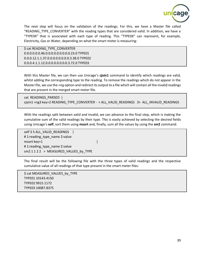

The next step will focus on the validation of the readings. For this, we have a Master file called "READING TYPE CONVERTER" with the reading types that are considered valid. In addition, we have a "TYPE0X" that is associated with each type of reading. This "TYPE0X" can represent, for example, Electricity, Gas or Water, depending on what the smart meter is measuring:

\$ cat READING\_TYPE\_CONVERTER 0.0.0.0.0.0.46.0.0.0.0.0.0.0.0.0.23.0 TYPE01 0.0.0.12.1.1.37.0.0.0.0.0.0.0.0.3.38.0 TYPE02 0.0.0.4.1.1.12.0.0.0.0.0.0.0.0.3.72.0 TYPE03

With this Master file, we can then use Unicage's **cjoin1** command to identify which readings are valid, whilst adding the corresponding type to the reading. To remove the readings which do not appear in the Master file, we use the *+ng* option and redirect its output to a file which will contain all the invalid readings that are present in the merged smart meter file.

cat READINGS\_PARSED | cjoin1 +ng3 key=2 READING\_TYPE\_CONVERTER - > ALL\_VALID\_READINGS 3> ALL\_INVALID\_READINGS

With the readings split between valid and invalid, we can advance to the final step, which is making the cumulative sum of the valid readings by their type. This is easily achieved by selecting the desired fields using Unicage's **self**, sort them using **msort** and, finally, sum all the values by using the **sm2** command:

self 3 5 ALL\_VALID\_READINGS | # 1:reading\_type\_name 2:value msort key=1 | #1:reading type name 2:value sm2 1 1 2 2 > MEASURED\_VALUES\_by\_TYPE

The final result will be the following file with the three types of valid readings and the respective cumulative value of all readings of that type present in the smart meter files:

\$ cat MEASURED\_VALUES\_by\_TYPE TYPE01 10143.4150 TYPE02 9915.1172 TYPE03 10087.8375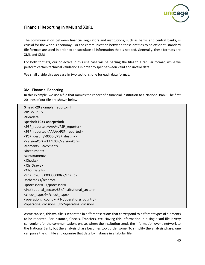

# <span id="page-41-0"></span>Financial Reporting in XML and XBRL

The communication between financial regulators and institutions, such as banks and central banks, is crucial for the world's economy. For the communication between these entities to be efficient, standard file formats are used in order to encapsulate all information that is needed. Generally, these formats are XML and XBRL.

For both formats, our objective in this use case will be parsing the files to a tabular format, while we perform certain technical validations in order to split between valid and invalid data.

We shall divide this use case in two sections, one for each data format.

#### <span id="page-41-1"></span>XML Financial Reporting

In this example, we use a file that mimics the report of a financial institution to a National Bank. The first 20 lines of our file are shown below:

\$ head -20 example report.xml <IPSYS\_PSP> <Header> <period>1933-04</period> <PSP\_reporter>AAAA</PSP\_reporter> <PSP\_reported>AAAA</PSP\_reported> <PSP\_destiny>0000</PSP\_destiny> <versionXSD>PT2.1.00</versionXSD> <coment>...</coment> <Instrument> </Instrument> <Checks> <Ch\_Draws> <ChS\_Details> <chs id>CHS.000000000a</chs id> <scheme></scheme> <processors>1</processors> <institutional\_sector>S3</institutional\_sector> <check\_type>9</check\_type> <operationg\_country>PT</operationg\_country> <operating\_division>EUR</operating\_division>

As we can see, this xml file is separated in different sections that correspond to different types of elements to be reported. For instance, Checks, Transfers, etc. Having this information in a single xml file is very convenient for the communications phase, where the institution sends the information over a network to the National Bank, but the analysis phase becomes too burdensome. To simplify the analysis phase, one can parse the xml file and organize that data by instance in a tabular file.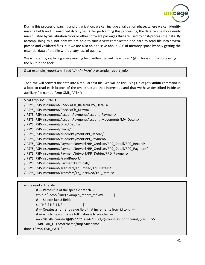

During this process of parsing and organization, we can include a validation phase, where we can identify missing fields and mismatched data types. After performing this processing, the data can be more easily manipulated by visualization tools or other software packages that are used to post-process the data. By accomplishing this, not only we are able to turn a very complicated and hard to read file into several parsed and validated files, but we are also able to save about 60% of memory space by only getting the essential data of the file without any loss of quality.

We will start by replacing every missing field within the xml file with an " $@$ ". This is simply done using the built in sed tool:

\$ cat example\_report.xml | sed 's/></>@</g' > example\_report\_mf.xml

Then, we will convert the data into a tabular text file. We will do this using Unicage's **xmldir** command in a loop to read each branch of the xml structure that interest us and that we have described inside an auxiliary file named "tmp-XML\_PATH":

\$ cat tmp-XML\_PATH /IPSYS\_PSP/Instrument/Checks/Ch\_Raised/ChS\_Details/ /IPSYS\_PSP/Instrument/Checks/Ch\_Drawn/ /IPSYS\_PSP/Instrument/AccountPayment/Account\_Payment/ /IPSYS\_PSP/Instrument/AccountPayment/Account\_Movements/Mv\_Details/ /IPSYS\_PSP/Instrument/DirectDebits/ /IPSYS\_PSP/Instrument/Efects/ /IPSYS\_PSP/Instrument/MiddlePayments/PI\_Record/ /IPSYS\_PSP/Instrument/MiddlePayments/PI\_Payment/ /IPSYS\_PSP/Instrument/PaymentNetwork/RP\_Creditor/RPC\_Detail/RPC\_Record/ /IPSYS\_PSP/Instrument/PaymentNetwork/RP\_Creditor/RPC\_Detail/RPC\_Payment/ /IPSYS\_PSP/Instrument/PaymentNetwork/RP\_Debter/RPD\_Payment/ /IPSYS\_PSP/Instrument/FraudReport/ /IPSYS\_PSP/Instrument/PaymentTerminals/ /IPSYS\_PSP/Instrument/Transfers/Tr\_Emited/TrE\_Details/ /IPSYS\_PSP/Instrument/Transfers/Tr\_Received/TrR\_Details/

```
while read -r line; do
       # --- Parses file of the specific branch ---
       xmldir $(echo $line) example_report_mf.xml |
       # --- Selects last 3 fields ---
       self NF-2 NF-1 NF
       # --- Creates a numeric value field that increments from id to id, ---
       # --- which means from a full instance to another ---
       awk 'BEGIN{count=0}{if($2 ~ "^[a-zA-Z]+_id$"){count++}; print count, $0}' >>
       TABULAR_FILES/$dirname/tmp-$filename
done < "tmp-XML_PATH"
```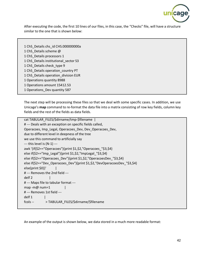

After executing the code, the first 10 lines of our files, in this case, the "Checks" file, will have a structure similar to the one that is shown below:

1 ChS\_Details chs\_id CHS.000000000a 1 ChS\_Details scheme @ 1 ChS\_Details processors 1 1 ChS Details institutional sector S3 1 ChS\_Details check\_type 9 1 ChS\_Details operation\_country PT 1 ChS\_Details operation\_division EUR 1 Operations quantity 8988 1 Operations amount 15412.53 1 Operations\_Dev quantity 587

The next step will be processing these files so that we deal with some specific cases. In addition, we use Unicage's **map** command to re-format the data file into a matrix consisting of row key fields, column key fields and the rest of the fields as data fields.

```
cat TABULAR_FILES/$dirname/tmp-$filename |
# --- Deals with an exception on specific fields called, 
Operacoes, Imp_Legal, Operacoes_Dev, Dev_Operacoes_Dev, 
due to different level in deepness of the tree
we use this command to artificially say
--- this level is (N-1) ---
awk '{if($2=="Operacoes"){print $1,$2,"Operacoes_"$3,$4}
else if($2=="Imp_Legal"){print $1,$2,"ImpLegal_"$3,$4}
else if($2=="Operacoes_Dev"){print $1,$2,"OperacoesDev_"$3,$4}
else if($2=="Dev_Operacoes_Dev"){print $1,$2,"DevOperacoesDev_"$3,$4}
else{print $0}}'
# --- Removes the 2nd field ---
delf 2 |
# --- Maps file to tabular format ---
map -m@ num=1 |
# --- Removes 1st field ---
delf 1 |
fcols -- > TABULAR_FILES/$dirname/$filename
```
An example of the output is shown below, we data stored in a much more readable format: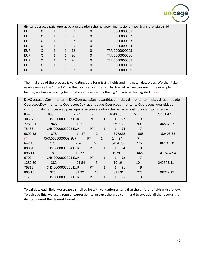

|            |   |              |                |   | divisa operacao pais operacao processador scheme setor institucional tipo transferencia trr id |  |
|------------|---|--------------|----------------|---|------------------------------------------------------------------------------------------------|--|
| <b>EUR</b> | X |              | S7             | 0 | TRR.0000000001                                                                                 |  |
| <b>EUR</b> | X | 1            | S6             | 0 | TRR.0000000002                                                                                 |  |
| <b>EUR</b> | X |              | S <sub>2</sub> | 0 | TRR.0000000003                                                                                 |  |
| <b>EUR</b> | X | $\mathbf{1}$ | S <sub>5</sub> | 0 | TRR.0000000004                                                                                 |  |
| <b>EUR</b> | X |              | S <sub>2</sub> | 0 | TRR.0000000005                                                                                 |  |
| <b>EUR</b> | X |              | S <sub>6</sub> | 0 | TRR.0000000006                                                                                 |  |
| <b>EUR</b> | X |              | S <sub>6</sub> | 0 | TRR.0000000007                                                                                 |  |
| <b>EUR</b> | X |              | S <sub>5</sub> | 0 | TRR.0000000008                                                                                 |  |
| <b>EUR</b> | X |              | S <sub>2</sub> | 0 | TRR.0000000009                                                                                 |  |
|            |   |              |                |   |                                                                                                |  |

The final step of the process is validating data for missing fields and mismatch datatypes. We shall take as an example the "Checks" file that is already in the tabular format. As we can see in the example bellow, we have a missing field that is represented by the "@" character highlighted in red:

| DevOperacoesDev_montante DevOperacoesDev_quantidade ImpLegal_montante ImpLegal_quantidade |                                                                                  |       |                |              |              |                |     |           |  |
|-------------------------------------------------------------------------------------------|----------------------------------------------------------------------------------|-------|----------------|--------------|--------------|----------------|-----|-----------|--|
| OperacoesDev_montante OperacoesDev_quantidade Operacoes_montante Operacoes_quantidade     |                                                                                  |       |                |              |              |                |     |           |  |
| chs_id                                                                                    | divisa_operacao pais_operacao processador scheme setor_institucional tipo_cheque |       |                |              |              |                |     |           |  |
| 8.42                                                                                      | 898                                                                              | 7.77  | 7              |              | 1040.03      |                | 671 | 75191.47  |  |
| 30337                                                                                     | CHS.000000000a EUR                                                               |       | PT             | $\mathbf{1}$ | 1            | S7             | 9   |           |  |
| 2286.91                                                                                   | 948                                                                              | 1.85  | 1              |              |              | 2357.33        | 801 | 44864.07  |  |
| 75483                                                                                     | CHS.0000000002 EUR                                                               |       | <b>PT</b>      | $\mathbf{1}$ | $\mathbf{1}$ | S <sub>4</sub> | 7   |           |  |
| 6890.53                                                                                   | 878                                                                              | 14.47 | $\overline{2}$ |              |              | 3972.38        | 568 | 52403.68  |  |
| $\omega$                                                                                  | CHS.0000000003 EUR                                                               |       | PT             | $\mathbf{1}$ | 1            | S <sub>4</sub> | 7   |           |  |
| 647.40                                                                                    | 173                                                                              | 7.76  | 6              |              | 3414.78      |                | 726 | 302043.31 |  |
| 89854                                                                                     | CHS.0000000004 EUR                                                               |       | PT             | $\mathbf{1}$ | 1            | S <sub>4</sub> | 9   |           |  |
| 898.11                                                                                    | 183                                                                              | 10.27 | 6              |              |              | 1929.11        | 448 | 479434.94 |  |
| 67094                                                                                     | CHS.0000000005 EUR                                                               |       | <b>PT</b>      | $\mathbf{1}$ | $\mathbf{1}$ | S <sub>2</sub> | 7   |           |  |
| 1282.50                                                                                   | 382                                                                              | 21.54 | 3              |              | 10.19        |                | 10  | 242343.41 |  |
| 79813                                                                                     | CHS.0000000006 EUR                                                               |       | PT             | $\mathbf{1}$ |              | S <sub>1</sub> | 9   |           |  |
| 805.10                                                                                    | 325                                                                              | 83.92 | 10             |              |              | 891.31         | 273 | 98729.25  |  |
| 11235                                                                                     | CHS.0000000007 EUR                                                               |       | PT             | $\mathbf{1}$ | 1            | S <sub>5</sub> | 3   |           |  |

To validate each field, we create a small script with validation criteria that the different fields must follow. To achieve this, we use a regular expression to instruct the grep command to exclude all the records that do not present the desired format: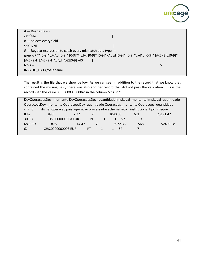

| $#$ --- Reads file ---                                         |                                                                                                      |
|----------------------------------------------------------------|------------------------------------------------------------------------------------------------------|
| cat \$file                                                     |                                                                                                      |
| # --- Selects every field                                      |                                                                                                      |
| self 1/NF                                                      |                                                                                                      |
| # --- Regular expression to catch every mismatch data type --- |                                                                                                      |
|                                                                | grep -vP "^{0-9]*\.\d\d [0-9]* [0-9]*\.\d\d [0-9]* [0-9]*\.\d\d [0-9]*(0-9]* (0-9]* [A-Z]{3}\.[0-9]* |
| [A-Z]{2,4} [A-Z]{2,4} \d \d [A-Z][0-9] \d\$"                   |                                                                                                      |
| $fcols -$                                                      |                                                                                                      |
| INVALID DATA/\$filename                                        |                                                                                                      |

The result is the file that we show bellow. As we can see, in addition to the record that we know that contained the missing field, there was also another record that did not pass the validation. This is the record with the value "CHS.000000000a" in the column "chs\_id":

| DevOperacoesDev_montante DevOperacoesDev_quantidade ImpLegal_montante ImpLegal_quantidade  |                    |       |                |  |         |         |     |          |  |
|--------------------------------------------------------------------------------------------|--------------------|-------|----------------|--|---------|---------|-----|----------|--|
| OperacoesDev_montante OperacoesDev_quantidade Operacoes_montante Operacoes_quantidade      |                    |       |                |  |         |         |     |          |  |
| divisa_operacao pais_operacao processador scheme setor_institucional tipo cheque<br>chs id |                    |       |                |  |         |         |     |          |  |
| 8.42                                                                                       | 898                | 7.77  |                |  | 1040.03 |         | 671 | 75191.47 |  |
| 30337                                                                                      | CHS.000000000a EUR |       | PT             |  |         | -S7     | 9   |          |  |
| 6890.53                                                                                    | 878                | 14.47 | $\mathfrak{p}$ |  |         | 3972.38 | 568 | 52403.68 |  |
| @                                                                                          | CHS.0000000003 EUR |       | PT             |  |         | S4      |     |          |  |
|                                                                                            |                    |       |                |  |         |         |     |          |  |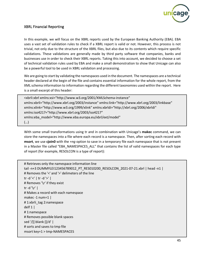

#### <span id="page-46-0"></span>XBRL Financial Reporting

In this example, we will focus on the XBRL reports used by the European Banking Authority (EBA). EBA uses a vast set of validation rules to check if a XBRL report is valid or not. However, this process is not trivial, not only due to the structure of the XBRL files, but also due to its contents which require specific validations. These validations are generally made by third party software that companies, banks and businesses use in order to check their XBRL reports. Taking this into account, we decided to choose a set of technical validation rules used by EBA and make a small demonstration to show that Unicage can also be a powerful tool to be used in XBRL validation and processing.

We are going to start by validating the namespaces used in the document. The namespaces are a technical header declared at the begin of the file and contains essential information for the whole report, from the XML schema information to information regarding the different taxonomies used within the report. Here is a small excerpt of this header:

<xbrli:xbrl xmlns:xsi="http://www.w3.org/2001/XMLSchema-instance" xmlns:xbrli="http://www.xbrl.org/2003/instance" xmlns:link="http://www.xbrl.org/2003/linkbase" xmlns:xlink="http://www.w3.org/1999/xlink" xmlns:xbrldi="http://xbrl.org/2006/xbrldi" xmlns:iso4217="http://www.xbrl.org/2003/iso4217" xmlns:eba\_model="http://www.eba.europa.eu/xbrl/ext/model" (…)

With some small transformations using tr and in combination with Unicage's **makec** command, we can store the namespaces into a file where each record is a namespace. Then, after sorting each record with **msort**, we use **cjoin0** with the *+ng* option to save in a temporary file each namespace that is not present in a Master file called "EBA\_NAMESPACES\_ALL" that contains the list of valid namespaces for each type of report (for example, RESOLCON is a type of report):

```
# Retrieves only the namespace information line
tail -n+3 DUMMYLEI123456789012_PT_RES010200_RESOLCON_2021-07-21.xbrl | head -n1 |
# Removes the '<' and '>' delimeters of the line
tr -d '<' | tr -d '>' |
# Removes '\r' if they exist
tr -d \lceil r' \rceil# Makes a record with each namespace
makec -1 num=1 |
# 1:xbrli_tag 2:namespace
delf 1 \mid# 1:namespace
# Removes possible blank spaces
sed '/[[:blank:]]/d' |
# sorts and saves to tmp file
msort key=1 > tmp-NAMESPACES
```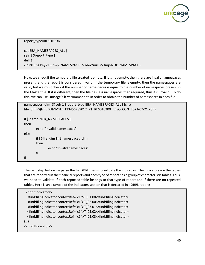

report\_type=RESOLCON

cat EBA\_NAMESPACES\_ALL | selr 1 \$report\_type | delf 1 | cjoin0 +ng key=1 – tmp\_NAMESPACES > /dev/null 2> tmp-NOK\_NAMESPACES

Now, we check if the temporary file created is empty. If it is not empty, then there are invalid namespaces present, and the report is considered invalid. If the temporary file is empty, then the namespaces are valid, but we must check if the number of namespaces is equal to the number of namespaces present in the Master file. If it is different, then the file has less namespaces than required, thus it is invalid. To do this, we can use Unicage's **lcnt** command to in order to obtain the number of namespaces in each file.

```
namespaces_dim=$( selr 1 $report_type EBA_NAMESPACES_ALL | lcnt)
file_dim=$(lcnt DUMMYLEI123456789012_PT_RES010200_RESOLCON_2021-07-21.xbrl)
if [ -s tmp-NOK_NAMESPACES ]
then
       echo "Invalid namespaces"
else
       if [ $file] dim != $namespaces dim ]then
              echo "Invalid namespaces"
       fi
fi
```
The next step before we parse the full XBRL files is to validate the indicators. The indicators are the tables that are reported in the financial reports and each type of report has a group of characteristic tables. Thus, we need to validate if each reported table belongs to that type of report and if there are no repeated tables. Here is an example of the indicators section that is declared in a XBRL report:

| <find:findicators></find:findicators>                                |  |
|----------------------------------------------------------------------|--|
| <find:filingindicator contextref="c1">T_01.00</find:filingindicator> |  |
| <find:filingindicator contextref="c1">T_02.00</find:filingindicator> |  |
| <find:filingindicator contextref="c1">T_03.01</find:filingindicator> |  |
| <find:filingindicator contextref="c1">T_03.02</find:filingindicator> |  |
| <find:filingindicator contextref="c1">T 03.03</find:filingindicator> |  |
| ()                                                                   |  |
|                                                                      |  |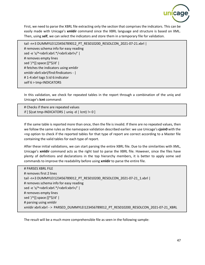

First, we need to parse the XBRL file extracting only the section that comprises the indicators. This can be easily made with Unicage's **xmldir** command since the XBRL language and structure is based on XML. Then, using **self**, we can select the indicators and store them in a temporary file for validation.

tail -n+3 DUMMYLEI123456789012\_PT\_RES010200\_RESOLCON\_2021-07-21.xbrl | # removes schema info for easy reading sed -e 's/^<xbrli:xbrl.\*/<xbrli:xbrl>/' | # removes empty lines sed '/^[[:space:]]\*\$/d' | # fetches the indicators using xmldir xmldir xbrli:xbrl/find:fIndicators - | # 1-4:xbrl tags 5:id 6:indicator self 6 > tmp-INDICATORS

In this validation, we check for repeated tables in the report through a combination of the uniq and Unicage's **lcnt** command:

# Checks if there are repeated values if  $[\S(\text{cat tmp-INDICATORS} \mid \text{uniq-d} \mid \text{lcnt})] = 0]$ 

If the same table is reported more than once, then the file is invalid. If there are no repeated values, then we follow the same rules as the namespace validation described earlier: we use Unicage's **cjoin0** with the *+ng* option to check if the reported tables for that type of report are correct according to a Master file containing the valid tables for each type of report.

After these initial validations, we can start parsing the entire XBRL file. Due to the similarities with XML, Unicage's **xmldir** command acts as the right tool to parse the XBRL file. However, since the files have plenty of definitions and declarations in the top hierarchy members, it is better to apply some sed commands to improve the readability before using **xmldir** to parse the entire file.

| # PARSES XBRL FILE                                                                      |
|-----------------------------------------------------------------------------------------|
| # removes first 2 lines                                                                 |
| tail-n+3 DUMMYLEI123456789012 PT RES010200 RESOLCON 2021-07-21 1.xbrl                   |
| # removes schema info for easy reading                                                  |
| sed-e's/^ <xbrli:xbrl.* <xbrli:xbrl="">/'  </xbrli:xbrl.*>                              |
| # removes empty lines                                                                   |
| sed '/^[[:space:]]*\$/d'                                                                |
| # parsing using xmldir                                                                  |
| xmldir xbrli:xbrl - > PARSED DUMMYLEI123456789012 PT RES010200 RESOLCON 2021-07-21 XBRL |

The result will be a much more comprehensible file as seen in the following sample: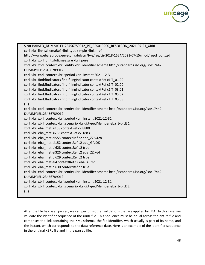

| \$ cat PARSED_DUMMYLEI123456789012_PT_RES010200_RESOLCON_2021-07-21_XBRL                         |
|--------------------------------------------------------------------------------------------------|
| xbrli:xbrl link:schemaRef xlink:type simple xlink:href                                           |
| http://www.eba.europa.eu/eu/fr/xbrl/crr/fws/res/cir-2018-1624/2021-07-15/mod/resol_con.xsd       |
| xbrli:xbrl xbrli:unit xbrli:measure xbrli:pure                                                   |
| xbrli:xbrl xbrli:context xbrli:entity xbrli:identifier scheme http://standards.iso.org/iso/17442 |
| DUMMYLEI123456789012                                                                             |
| xbrli:xbrl xbrli:context xbrli:period xbrli:instant 2021-12-31                                   |
| xbrli:xbrl find:fIndicators find:filingIndicator contextRef c1 T_01.00                           |
| xbrli:xbrl find:fIndicators find:filingIndicator contextRef c1 T_02.00                           |
| xbrli:xbrl find:fIndicators find:filingIndicator contextRef c1 T_03.01                           |
| xbrli:xbrl find:fIndicators find:filingIndicator contextRef c1 T_03.02                           |
| xbrli:xbrl find:fIndicators find:filingIndicator contextRef c1 T_03.03                           |
| ()                                                                                               |
| xbrli:xbrl xbrli:context xbrli:entity xbrli:identifier scheme http://standards.iso.org/iso/17442 |
| DUMMYLE1123456789012                                                                             |
| xbrli:xbrl xbrli:context xbrli:period xbrli:instant 2021-12-31                                   |
| xbrli:xbrl xbrli:context xbrli:scenario xbrldi:typedMember eba_typ:LE 1                          |
| xbrli:xbrl eba met:si168 contextRef c2 8880                                                      |
| xbrli:xbrl eba_met:si288 contextRef c2 1883                                                      |
| xbrli:xbrl eba_met:ei555 contextRef c2 eba_ZZ:x428                                               |
| xbrli:xbrl eba_met:ei152 contextRef c2 eba_GA:DK                                                 |
| xbrli:xbrl eba_met:bi628 contextRef c2 true                                                      |
| xbrli:xbrl eba met:ei326 contextRef c2 eba ZZ:x64                                                |
| xbrli:xbrl eba_met:bi629 contextRef c2 true                                                      |
| xbrli:xbrl eba_met:ei4 contextRef c2 eba_AS:x2                                                   |
| xbrli:xbrl eba met:bi630 contextRef c2 true                                                      |
| xbrli:xbrl xbrli:context xbrli:entity xbrli:identifier scheme http://standards.iso.org/iso/17442 |
| DUMMYLEI123456789012                                                                             |
| xbrli:xbrl xbrli:context xbrli:period xbrli:instant 2021-12-31                                   |
| xbrli:xbrl xbrli:context xbrli:scenario xbrldi:typedMember eba_typ:LE 2                          |
| ()                                                                                               |
|                                                                                                  |

After the file has been parsed, we can perform other validations that are applied by EBA. In this case, we validate the identifier sequence of the XBRL file. This sequence must be equal across the entire file and comprises the link containing the XML schema, the file identifier, which usually is part of its name, and the instant, which corresponds to the data reference date. Here is an example of the identifier sequence in the original XBRL file and in the parsed file: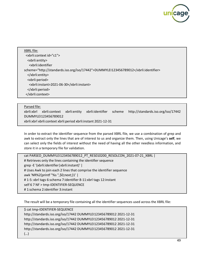

XBRL file: <xbrli:context id="c1"> <xbrli:entity> <xbrli:identifier scheme="http://standards.iso.org/iso/17442">DUMMYLEI123456789012</xbrli:identifier> </xbrli:entity> <xbrli:period> <xbrli:instant>2021-06-30</xbrli:instant> </xbrli:period> </xbrli:context>

#### Parsed file:

xbrli:xbrl xbrli:context xbrli:entity xbrli:identifier scheme http://standards.iso.org/iso/17442 DUMMYLEI123456789012 xbrli:xbrl xbrli:context xbrli:period xbrli:instant 2021-12-31

In order to extract the identifier sequence from the parsed XBRL file, we use a combination of grep and

awk to extract only the lines that are of interest to us and organize them. Then, using Unicage's **self**, we can select only the fields of interest without the need of having all the other needless information, and store it in a temporary file for validation.

```
cat PARSED_DUMMYLEI123456789012_PT_RES010200_RESOLCON_2021-07-21_XBRL | 
# Retrieves only the lines containing the identifier sequence
grep -E '(xbrli:identifier|xbrli:instant)' | 
# Uses Awk to join each 2 lines that comprise the identifier sequence
awk 'NR%2{printf "%s ",$0;next;}1' | 
# 1-5: xbrl tags 6:schema 7:identifier 8-11:xbrl tags 12:instant
self 6 7 NF > tmp-IDENTIFIER-SEQUENCE
# 1:schema 2:identifier 3:instant
```
The result will be a temporary file containing all the identifier sequences used across the XBRL file:

\$ cat tmp-IDENTIFIER-SEQUENCE http://standards.iso.org/iso/17442 DUMMYLEI123456789012 2021-12-31 http://standards.iso.org/iso/17442 DUMMYLEI123456789012 2021-12-31 http://standards.iso.org/iso/17442 DUMMYLEI123456789012 2021-12-31 http://standards.iso.org/iso/17442 DUMMYLEI123456789012 2021-12-31 (…)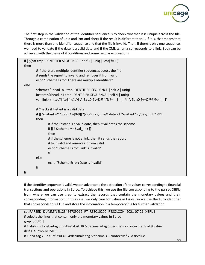

The first step in the validation of the identifier sequence is to check whether it is unique across the file. Through a combination of uniq and **lcnt** and check if the result is different than 1. If it is, that means that there is more than one identifier sequence and that the file is invalid. Then, if there is only one sequence, we need to validate if the date is a valid date and if the XML schema corresponds to a link. Both can be achieved with the usage of if conditions and some regular expressions.

| if $[\$$ (cat tmp-IDENTIFIER-SEQUENCE   delf 1   uniq   lcnt) != 1 ]<br>then |                                                                                             |  |  |  |  |  |  |  |
|------------------------------------------------------------------------------|---------------------------------------------------------------------------------------------|--|--|--|--|--|--|--|
|                                                                              | # if there are multiple identifier sequences across the file                                |  |  |  |  |  |  |  |
|                                                                              | # sends the report to invalid and removes it from valid                                     |  |  |  |  |  |  |  |
| echo "Scheme Error: There are multiple identifiers"                          |                                                                                             |  |  |  |  |  |  |  |
| else                                                                         |                                                                                             |  |  |  |  |  |  |  |
|                                                                              |                                                                                             |  |  |  |  |  |  |  |
| scheme=\$(head -n1 tmp-IDENTIFIER-SEQUENCE   self 2   uniq)                  |                                                                                             |  |  |  |  |  |  |  |
| instant=\$(head -n1 tmp-IDENTIFIER-SEQUENCE   self 4   uniq)                 |                                                                                             |  |  |  |  |  |  |  |
|                                                                              | val_link='(https? ftp file)://[-A-Za-zO-9\+&@#/%?=~_ !:,.;]*[-A-Za-zO-9\+&@#/%=~_ ]'        |  |  |  |  |  |  |  |
|                                                                              |                                                                                             |  |  |  |  |  |  |  |
| # Checks if Instant is a valid date                                          |                                                                                             |  |  |  |  |  |  |  |
|                                                                              | if [[ \$instant =~ ^[0-9]{4}-[0-9]{2}-[0-9]{2}\$ ]] && date -d "\$instant" > /dev/null 2>&1 |  |  |  |  |  |  |  |
| then                                                                         |                                                                                             |  |  |  |  |  |  |  |
|                                                                              | # if the Instant is a valid date, then it validates the scheme                              |  |  |  |  |  |  |  |
| if $[[ \cdot \$ \$scheme =~ \$val_link ]]                                    |                                                                                             |  |  |  |  |  |  |  |
| then                                                                         |                                                                                             |  |  |  |  |  |  |  |
| # if the scheme is not a link, then it sends the report                      |                                                                                             |  |  |  |  |  |  |  |
| # to invalid and removes it from valid                                       |                                                                                             |  |  |  |  |  |  |  |
|                                                                              |                                                                                             |  |  |  |  |  |  |  |
| echo "Scheme Error: Link is invalid"                                         |                                                                                             |  |  |  |  |  |  |  |
| fi                                                                           |                                                                                             |  |  |  |  |  |  |  |
| else                                                                         |                                                                                             |  |  |  |  |  |  |  |
| echo "Scheme Error: Date is invalid"                                         |                                                                                             |  |  |  |  |  |  |  |
| fi                                                                           |                                                                                             |  |  |  |  |  |  |  |
| fi                                                                           |                                                                                             |  |  |  |  |  |  |  |
|                                                                              |                                                                                             |  |  |  |  |  |  |  |

If the identifier sequence is valid, we can advance to the extraction of the values corresponding to financial transactions and operations in Euros. To achieve this, we use the file corresponding to the parsed XBRL, from where we can use grep to extract the records that contain the monetary values and their corresponding information. In this case, we only care for values in Euros, so we use the Euro identifier that corresponds to 'uEUR' and store the information in a temporary file for further validation.

```
cat PARSED_DUMMYLEI123456789012_PT_RES010200_RESOLCON_2021-07-21_XBRL |
# selects the lines that contain only the monetary values in Euros
grep 'uEUR' |
# 1:xbrli:xbrl 2:eba-tag 3:unitRef 4:uEUR 5:decimals-tag 6:decimals 7:contextRef 8:id 9:value
delf 1 > tmp-NUMERICS
# 1:eba-tag 2:unitRef 3:uEUR 4:decimals-tag 5:decimals 6:contextRef 7:id 8:value
```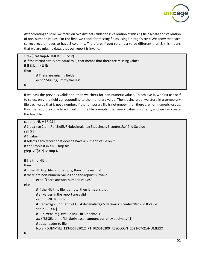

After creating this file, we focus on two distinct validations: Validation of missing fields/data and validation of non-numeric values. For the first, we check for missing fields using Unicage's **ccnt**. We know that each correct record needs to have 8 columns. Therefore, if **ccnt** returns a value different than 8, this means that we are missing data, thus our report is invalid.

```
size=$(cat tmp-NUMERICS | ccnt)
# if the record size is not equal to 8, that means that there are missing values
if [[ $size != 8 ]];
then
        # There are missing fields
        echo "Missing/Empty Values"
```
fi

If we pass the previous validation, then we check for non-numeric values. To achieve it, we first use **self**  to select only the field corresponding to the monetary value. Then, using grep, we store in a temporary file each value that is not a number. If the temporary file is not empty, then there are non-numeric values, thus the report is considered invalid. If the file is empty, then every value is numeric, and we can create the final file.

```
cat tmp-NUMERICS |
# 1:eba-tag 2:unitRef 3:uEUR 4:decimals-tag 5:decimals 6:contextRef 7:id 8:value 
self 5 |
# 1:value
# selects each record that doesn't have a numeric value on it
# and stores it in a NIL tmp file
grep -v "[0-9]" > tmp-NIL
if [ -s tmp-NIL ];
then
# If the NIL tmp file is not empty, then it means that
# there are non-numeric values and the report is invalid
        echo "There are non-numeric values"
else
        # If the NIL tmp file is empty, then it means that
        # all values in the report are valid
        cat tmp-NUMERICS|
        # 1:eba-tag 2:unitRef 3:uEUR 4:decimals-tag 5:decimals 6:contextRef 7:id 8:value 
        self 7 1 8 3 4 |
        # 1:id 2:eba-tag 3:value 4:uEUR 5:decimals
        awk 'BEGIN{print "id label/reason amount currency decimals"}1' |
        # adds header to file
        fcols > DUMMYLEI123456789012_PT_RES010200_RESOLCON_2021-07-21-NUMERIC
fi
```